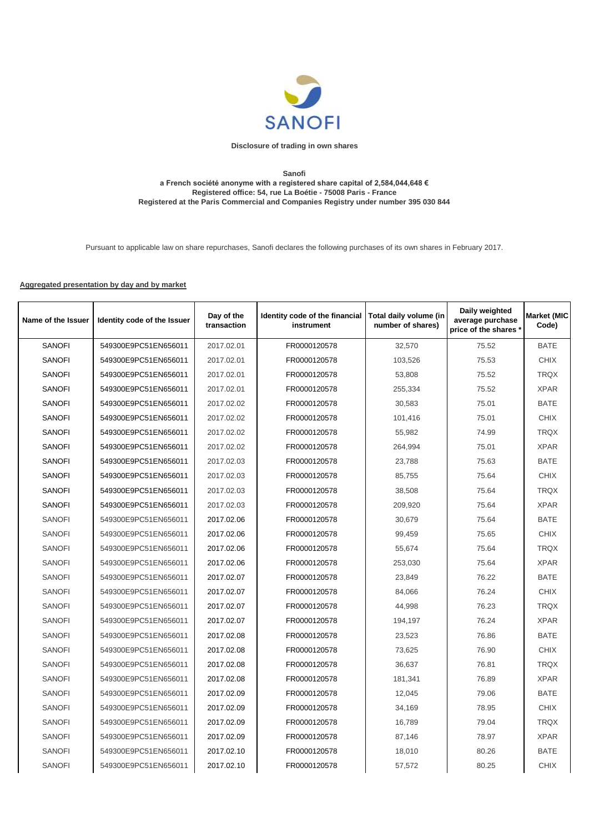

## **Disclosure of trading in own shares**

## **Sanofi a French société anonyme with a registered share capital of 2,584,044,648 € Registered office: 54, rue La Boétie - 75008 Paris - France Registered at the Paris Commercial and Companies Registry under number 395 030 844**

Pursuant to applicable law on share repurchases, Sanofi declares the following purchases of its own shares in February 2017.

## **Aggregated presentation by day and by market**

| Name of the Issuer | Identity code of the Issuer | Day of the<br>transaction | Identity code of the financial<br>instrument | Total daily volume (in<br>number of shares) | Daily weighted<br>average purchase<br>price of the shares * | <b>Market (MIC</b><br>Code) |
|--------------------|-----------------------------|---------------------------|----------------------------------------------|---------------------------------------------|-------------------------------------------------------------|-----------------------------|
| <b>SANOFI</b>      | 549300E9PC51EN656011        | 2017.02.01                | FR0000120578                                 | 32,570                                      | 75.52                                                       | <b>BATE</b>                 |
| <b>SANOFI</b>      | 549300E9PC51EN656011        | 2017.02.01                | FR0000120578                                 | 103,526                                     | 75.53                                                       | <b>CHIX</b>                 |
| <b>SANOFI</b>      | 549300E9PC51EN656011        | 2017.02.01                | FR0000120578                                 | 53,808                                      | 75.52                                                       | <b>TRQX</b>                 |
| <b>SANOFI</b>      | 549300E9PC51EN656011        | 2017.02.01                | FR0000120578                                 | 255,334                                     | 75.52                                                       | <b>XPAR</b>                 |
| <b>SANOFI</b>      | 549300E9PC51EN656011        | 2017.02.02                | FR0000120578                                 | 30,583                                      | 75.01                                                       | <b>BATE</b>                 |
| <b>SANOFI</b>      | 549300E9PC51EN656011        | 2017.02.02                | FR0000120578                                 | 101,416                                     | 75.01                                                       | <b>CHIX</b>                 |
| <b>SANOFI</b>      | 549300E9PC51EN656011        | 2017.02.02                | FR0000120578                                 | 55,982                                      | 74.99                                                       | <b>TRQX</b>                 |
| <b>SANOFI</b>      | 549300E9PC51EN656011        | 2017.02.02                | FR0000120578                                 | 264,994                                     | 75.01                                                       | <b>XPAR</b>                 |
| <b>SANOFI</b>      | 549300E9PC51EN656011        | 2017.02.03                | FR0000120578                                 | 23,788                                      | 75.63                                                       | <b>BATE</b>                 |
| <b>SANOFI</b>      | 549300E9PC51EN656011        | 2017.02.03                | FR0000120578                                 | 85.755                                      | 75.64                                                       | <b>CHIX</b>                 |
| <b>SANOFI</b>      | 549300E9PC51EN656011        | 2017.02.03                | FR0000120578                                 | 38,508                                      | 75.64                                                       | TRQX                        |
| <b>SANOFI</b>      | 549300E9PC51EN656011        | 2017.02.03                | FR0000120578                                 | 209,920                                     | 75.64                                                       | <b>XPAR</b>                 |
| <b>SANOFI</b>      | 549300E9PC51EN656011        | 2017.02.06                | FR0000120578                                 | 30,679                                      | 75.64                                                       | <b>BATE</b>                 |
| <b>SANOFI</b>      | 549300E9PC51EN656011        | 2017.02.06                | FR0000120578                                 | 99,459                                      | 75.65                                                       | <b>CHIX</b>                 |
| <b>SANOFI</b>      | 549300E9PC51EN656011        | 2017.02.06                | FR0000120578                                 | 55,674                                      | 75.64                                                       | <b>TRQX</b>                 |
| <b>SANOFI</b>      | 549300E9PC51EN656011        | 2017.02.06                | FR0000120578                                 | 253,030                                     | 75.64                                                       | <b>XPAR</b>                 |
| <b>SANOFI</b>      | 549300E9PC51EN656011        | 2017.02.07                | FR0000120578                                 | 23,849                                      | 76.22                                                       | <b>BATE</b>                 |
| <b>SANOFI</b>      | 549300E9PC51EN656011        | 2017.02.07                | FR0000120578                                 | 84,066                                      | 76.24                                                       | <b>CHIX</b>                 |
| <b>SANOFI</b>      | 549300E9PC51EN656011        | 2017.02.07                | FR0000120578                                 | 44,998                                      | 76.23                                                       | <b>TRQX</b>                 |
| <b>SANOFI</b>      | 549300E9PC51EN656011        | 2017.02.07                | FR0000120578                                 | 194,197                                     | 76.24                                                       | <b>XPAR</b>                 |
| <b>SANOFI</b>      | 549300E9PC51EN656011        | 2017.02.08                | FR0000120578                                 | 23,523                                      | 76.86                                                       | <b>BATE</b>                 |
| <b>SANOFI</b>      | 549300E9PC51EN656011        | 2017.02.08                | FR0000120578                                 | 73,625                                      | 76.90                                                       | <b>CHIX</b>                 |
| <b>SANOFI</b>      | 549300E9PC51EN656011        | 2017.02.08                | FR0000120578                                 | 36,637                                      | 76.81                                                       | <b>TRQX</b>                 |
| <b>SANOFI</b>      | 549300E9PC51EN656011        | 2017.02.08                | FR0000120578                                 | 181,341                                     | 76.89                                                       | <b>XPAR</b>                 |
| <b>SANOFI</b>      | 549300E9PC51EN656011        | 2017.02.09                | FR0000120578                                 | 12,045                                      | 79.06                                                       | <b>BATE</b>                 |
| <b>SANOFI</b>      | 549300E9PC51EN656011        | 2017.02.09                | FR0000120578                                 | 34,169                                      | 78.95                                                       | <b>CHIX</b>                 |
| <b>SANOFI</b>      | 549300E9PC51EN656011        | 2017.02.09                | FR0000120578                                 | 16,789                                      | 79.04                                                       | <b>TRQX</b>                 |
| <b>SANOFI</b>      | 549300E9PC51EN656011        | 2017.02.09                | FR0000120578                                 | 87,146                                      | 78.97                                                       | <b>XPAR</b>                 |
| <b>SANOFI</b>      | 549300E9PC51EN656011        | 2017.02.10                | FR0000120578                                 | 18,010                                      | 80.26                                                       | <b>BATE</b>                 |
| <b>SANOFI</b>      | 549300E9PC51EN656011        | 2017.02.10                | FR0000120578                                 | 57,572                                      | 80.25                                                       | <b>CHIX</b>                 |